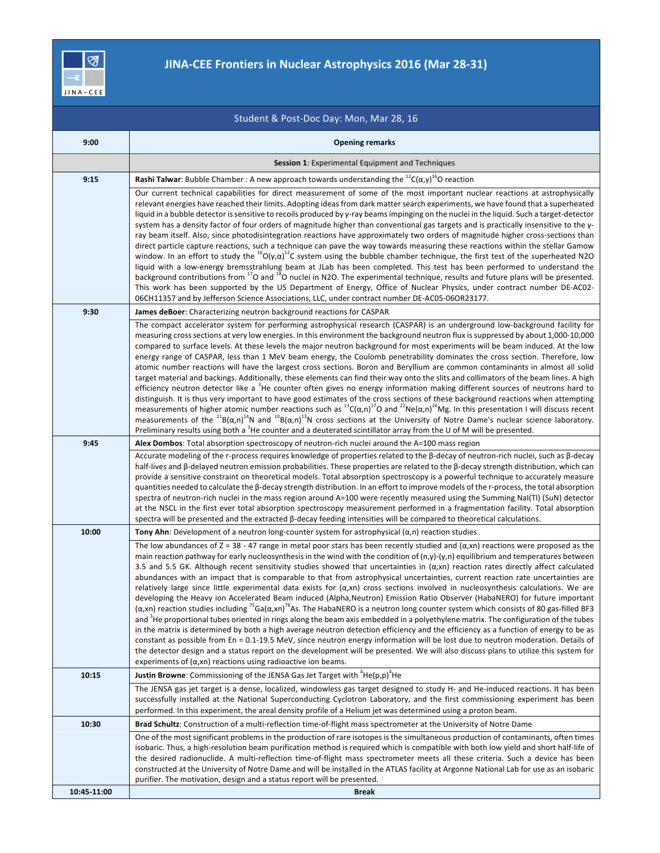

## **JINA-CEE Frontiers in Nuclear Astrophysics 2016 (Mar 28-31)**

| Student & Post-Doc Day: Mon, Mar 28, 16 |                                                                                                                                                                                                                                                                                                                                                                                                                                                                                                                                                                                                                                                                                                                                                                                                                                                                                                                                                                                                                                                                                                                                                                                                                                                                                                                                                                                                                                                                                                                                                                                                                                                                             |  |
|-----------------------------------------|-----------------------------------------------------------------------------------------------------------------------------------------------------------------------------------------------------------------------------------------------------------------------------------------------------------------------------------------------------------------------------------------------------------------------------------------------------------------------------------------------------------------------------------------------------------------------------------------------------------------------------------------------------------------------------------------------------------------------------------------------------------------------------------------------------------------------------------------------------------------------------------------------------------------------------------------------------------------------------------------------------------------------------------------------------------------------------------------------------------------------------------------------------------------------------------------------------------------------------------------------------------------------------------------------------------------------------------------------------------------------------------------------------------------------------------------------------------------------------------------------------------------------------------------------------------------------------------------------------------------------------------------------------------------------------|--|
| 9:00                                    | <b>Opening remarks</b>                                                                                                                                                                                                                                                                                                                                                                                                                                                                                                                                                                                                                                                                                                                                                                                                                                                                                                                                                                                                                                                                                                                                                                                                                                                                                                                                                                                                                                                                                                                                                                                                                                                      |  |
|                                         | <b>Session 1: Experimental Equipment and Techniques</b>                                                                                                                                                                                                                                                                                                                                                                                                                                                                                                                                                                                                                                                                                                                                                                                                                                                                                                                                                                                                                                                                                                                                                                                                                                                                                                                                                                                                                                                                                                                                                                                                                     |  |
| 9:15                                    | Rashi Talwar: Bubble Chamber : A new approach towards understanding the ${}^{12}C(\alpha,\gamma)^{16}$ O reaction                                                                                                                                                                                                                                                                                                                                                                                                                                                                                                                                                                                                                                                                                                                                                                                                                                                                                                                                                                                                                                                                                                                                                                                                                                                                                                                                                                                                                                                                                                                                                           |  |
|                                         | Our current technical capabilities for direct measurement of some of the most important nuclear reactions at astrophysically<br>relevant energies have reached their limits. Adopting ideas from dark matter search experiments, we have found that a superheated<br>liquid in a bubble detector is sensitive to recoils produced by y-ray beams impinging on the nuclei in the liquid. Such a target-detector<br>system has a density factor of four orders of magnitude higher than conventional gas targets and is practically insensitive to the y-<br>ray beam itself. Also, since photodisintegration reactions have approximately two orders of magnitude higher cross-sections than<br>direct particle capture reactions, such a technique can pave the way towards measuring these reactions within the stellar Gamow<br>window. In an effort to study the $^{15}O(\gamma,\alpha)^{12}C$ system using the bubble chamber technique, the first test of the superheated N2O<br>liquid with a low-energy bremsstrahlung beam at JLab has been completed. This test has been performed to understand the<br>background contributions from <sup>17</sup> O and <sup>18</sup> O nuclei in N2O. The experimental technique, results and future plans will be presented.<br>This work has been supported by the US Department of Energy, Office of Nuclear Physics, under contract number DE-AC02-<br>06CH11357 and by Jefferson Science Associations, LLC, under contract number DE-AC05-06OR23177.                                                                                                                                                                       |  |
| 9:30                                    | <b>James deBoer:</b> Characterizing neutron background reactions for CASPAR                                                                                                                                                                                                                                                                                                                                                                                                                                                                                                                                                                                                                                                                                                                                                                                                                                                                                                                                                                                                                                                                                                                                                                                                                                                                                                                                                                                                                                                                                                                                                                                                 |  |
|                                         | The compact accelerator system for performing astrophysical research (CASPAR) is an underground low-background facility for<br>measuring cross sections at very low energies. In this environment the background neutron flux is suppressed by about 1,000-10,000<br>compared to surface levels. At these levels the major neutron background for most experiments will be beam induced. At the low<br>energy range of CASPAR, less than 1 MeV beam energy, the Coulomb penetrability dominates the cross section. Therefore, low<br>atomic number reactions will have the largest cross sections. Boron and Beryllium are common contaminants in almost all solid<br>target material and backings. Additionally, these elements can find their way onto the slits and collimators of the beam lines. A high<br>efficiency neutron detector like a <sup>3</sup> He counter often gives no energy information making different sources of neutrons hard to<br>distinguish. It is thus very important to have good estimates of the cross sections of these background reactions when attempting<br>measurements of higher atomic number reactions such as ${}^{13}C(\alpha,n)^{17}O$ and ${}^{22}Ne(\alpha,n)^{26}Mg$ . In this presentation I will discuss recent<br>measurements of the <sup>11</sup> B( $\alpha$ ,n) <sup>14</sup> N and <sup>10</sup> B( $\alpha$ ,n) <sup>13</sup> N cross sections at the University of Notre Dame's nuclear science laboratory.<br>Preliminary results using both a <sup>3</sup> He counter and a deuterated scintillator array from the U of M will be presented.                                                                    |  |
| 9:45                                    | <b>Alex Dombos:</b> Total absorption spectroscopy of neutron-rich nuclei around the $A=100$ mass region                                                                                                                                                                                                                                                                                                                                                                                                                                                                                                                                                                                                                                                                                                                                                                                                                                                                                                                                                                                                                                                                                                                                                                                                                                                                                                                                                                                                                                                                                                                                                                     |  |
|                                         | Accurate modeling of the r-process requires knowledge of properties related to the $\beta$ -decay of neutron-rich nuclei, such as $\beta$ -decay<br>half-lives and β-delayed neutron emission probabilities. These properties are related to the β-decay strength distribution, which can<br>provide a sensitive constraint on theoretical models. Total absorption spectroscopy is a powerful technique to accurately measure<br>quantities needed to calculate the β-decay strength distribution. In an effort to improve models of the r-process, the total absorption<br>spectra of neutron-rich nuclei in the mass region around A=100 were recently measured using the Summing NaI(TI) (SuN) detector<br>at the NSCL in the first ever total absorption spectroscopy measurement performed in a fragmentation facility. Total absorption<br>spectra will be presented and the extracted $\beta$ -decay feeding intensities will be compared to theoretical calculations.                                                                                                                                                                                                                                                                                                                                                                                                                                                                                                                                                                                                                                                                                              |  |
| 10:00                                   | Tony Ahn: Development of a neutron long-counter system for astrophysical $(\alpha, n)$ reaction studies                                                                                                                                                                                                                                                                                                                                                                                                                                                                                                                                                                                                                                                                                                                                                                                                                                                                                                                                                                                                                                                                                                                                                                                                                                                                                                                                                                                                                                                                                                                                                                     |  |
|                                         | The low abundances of Z = 38 - 47 range in metal poor stars has been recently studied and $(\alpha, xn)$ reactions were proposed as the<br>main reaction pathway for early nucleosynthesis in the wind with the condition of $(n,y)$ - $(y,n)$ equilibrium and temperatures between<br>3.5 and 5.5 GK. Although recent sensitivity studies showed that uncertainties in $(\alpha, xn)$ reaction rates directly affect calculated<br>abundances with an impact that is comparable to that from astrophysical uncertainties, current reaction rate uncertainties are<br>relatively large since little experimental data exists for $(\alpha, xn)$ cross sections involved in nucleosynthesis calculations. We are<br>developing the Heavy ion Accelerated Beam induced (Alpha, Neutron) Emission Ratio Observer (HabaNERO) for future important<br>( $\alpha$ ,xn) reaction studies including <sup>75</sup> Ga( $\alpha$ ,xn) <sup>78</sup> As. The HabaNERO is a neutron long counter system which consists of 80 gas-filled BF3<br>and <sup>3</sup> He proportional tubes oriented in rings along the beam axis embedded in a polyethylene matrix. The configuration of the tubes<br>in the matrix is determined by both a high average neutron detection efficiency and the efficiency as a function of energy to be as<br>constant as possible from En = 0.1-19.5 MeV, since neutron energy information will be lost due to neutron moderation. Details of<br>the detector design and a status report on the development will be presented. We will also discuss plans to utilize this system for<br>experiments of $(\alpha, xn)$ reactions using radioactive ion beams. |  |
| 10:15                                   | <b>Justin Browne:</b> Commissioning of the JENSA Gas Jet Target with ${}^{4}$ He(p,p) ${}^{4}$ He                                                                                                                                                                                                                                                                                                                                                                                                                                                                                                                                                                                                                                                                                                                                                                                                                                                                                                                                                                                                                                                                                                                                                                                                                                                                                                                                                                                                                                                                                                                                                                           |  |
|                                         | The JENSA gas jet target is a dense, localized, windowless gas target designed to study H- and He-induced reactions. It has been<br>successfully installed at the National Superconducting Cyclotron Laboratory, and the first commissioning experiment has been<br>performed. In this experiment, the areal density profile of a Helium jet was determined using a proton beam.                                                                                                                                                                                                                                                                                                                                                                                                                                                                                                                                                                                                                                                                                                                                                                                                                                                                                                                                                                                                                                                                                                                                                                                                                                                                                            |  |
| 10:30                                   | Brad Schultz: Construction of a multi-reflection time-of-flight mass spectrometer at the University of Notre Dame                                                                                                                                                                                                                                                                                                                                                                                                                                                                                                                                                                                                                                                                                                                                                                                                                                                                                                                                                                                                                                                                                                                                                                                                                                                                                                                                                                                                                                                                                                                                                           |  |
|                                         | One of the most significant problems in the production of rare isotopes is the simultaneous production of contaminants, often times<br>isobaric. Thus, a high-resolution beam purification method is required which is compatible with both low yield and short half-life of<br>the desired radionuclide. A multi-reflection time-of-flight mass spectrometer meets all these criteria. Such a device has been<br>constructed at the University of Notre Dame and will be installed in the ATLAS facility at Argonne National Lab for use as an isobaric<br>purifier. The motivation, design and a status report will be presented.                                                                                                                                                                                                                                                                                                                                                                                                                                                                                                                                                                                                                                                                                                                                                                                                                                                                                                                                                                                                                                         |  |
| 10:45-11:00                             | <b>Break</b>                                                                                                                                                                                                                                                                                                                                                                                                                                                                                                                                                                                                                                                                                                                                                                                                                                                                                                                                                                                                                                                                                                                                                                                                                                                                                                                                                                                                                                                                                                                                                                                                                                                                |  |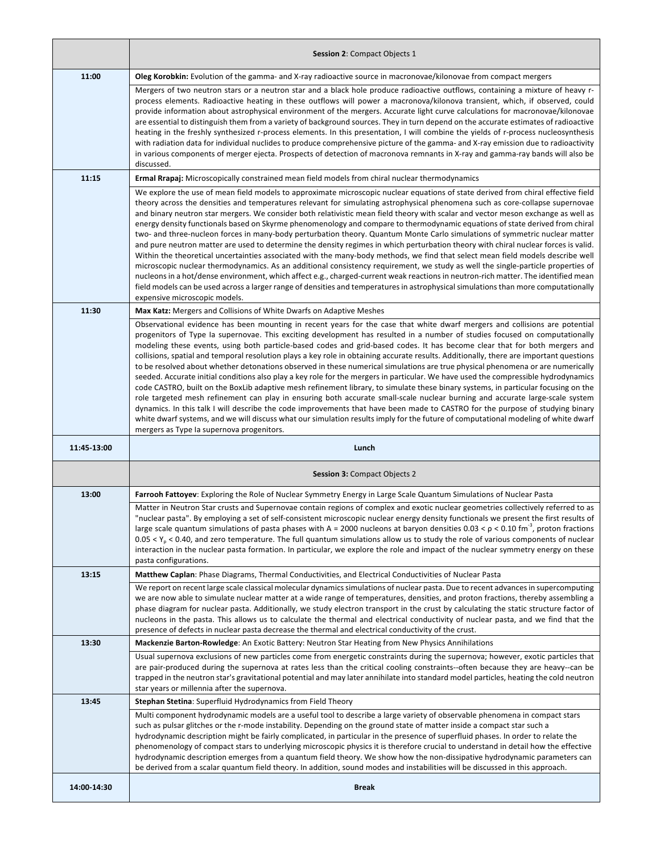|             | <b>Session 2: Compact Objects 1</b>                                                                                                                                                                                                                                                                                                                                                                                                                                                                                                                                                                                                                                                                                                                                                                                                                                                                                                                                                                                                                                                                                                                                                                                                                                                                                                                                                                     |
|-------------|---------------------------------------------------------------------------------------------------------------------------------------------------------------------------------------------------------------------------------------------------------------------------------------------------------------------------------------------------------------------------------------------------------------------------------------------------------------------------------------------------------------------------------------------------------------------------------------------------------------------------------------------------------------------------------------------------------------------------------------------------------------------------------------------------------------------------------------------------------------------------------------------------------------------------------------------------------------------------------------------------------------------------------------------------------------------------------------------------------------------------------------------------------------------------------------------------------------------------------------------------------------------------------------------------------------------------------------------------------------------------------------------------------|
| 11:00       | Oleg Korobkin: Evolution of the gamma- and X-ray radioactive source in macronovae/kilonovae from compact mergers                                                                                                                                                                                                                                                                                                                                                                                                                                                                                                                                                                                                                                                                                                                                                                                                                                                                                                                                                                                                                                                                                                                                                                                                                                                                                        |
|             | Mergers of two neutron stars or a neutron star and a black hole produce radioactive outflows, containing a mixture of heavy r-<br>process elements. Radioactive heating in these outflows will power a macronova/kilonova transient, which, if observed, could<br>provide information about astrophysical environment of the mergers. Accurate light curve calculations for macronovae/kilonovae<br>are essential to distinguish them from a variety of background sources. They in turn depend on the accurate estimates of radioactive<br>heating in the freshly synthesized r-process elements. In this presentation, I will combine the yields of r-process nucleosynthesis<br>with radiation data for individual nuclides to produce comprehensive picture of the gamma- and X-ray emission due to radioactivity<br>in various components of merger ejecta. Prospects of detection of macronova remnants in X-ray and gamma-ray bands will also be<br>discussed.                                                                                                                                                                                                                                                                                                                                                                                                                                   |
| 11:15       | <b>Ermal Rrapaj:</b> Microscopically constrained mean field models from chiral nuclear thermodynamics                                                                                                                                                                                                                                                                                                                                                                                                                                                                                                                                                                                                                                                                                                                                                                                                                                                                                                                                                                                                                                                                                                                                                                                                                                                                                                   |
|             | We explore the use of mean field models to approximate microscopic nuclear equations of state derived from chiral effective field<br>theory across the densities and temperatures relevant for simulating astrophysical phenomena such as core-collapse supernovae<br>and binary neutron star mergers. We consider both relativistic mean field theory with scalar and vector meson exchange as well as<br>energy density functionals based on Skyrme phenomenology and compare to thermodynamic equations of state derived from chiral<br>two- and three-nucleon forces in many-body perturbation theory. Quantum Monte Carlo simulations of symmetric nuclear matter<br>and pure neutron matter are used to determine the density regimes in which perturbation theory with chiral nuclear forces is valid.<br>Within the theoretical uncertainties associated with the many-body methods, we find that select mean field models describe well<br>microscopic nuclear thermodynamics. As an additional consistency requirement, we study as well the single-particle properties of<br>nucleons in a hot/dense environment, which affect e.g., charged-current weak reactions in neutron-rich matter. The identified mean<br>field models can be used across a larger range of densities and temperatures in astrophysical simulations than more computationally<br>expensive microscopic models.      |
| 11:30       | Max Katz: Mergers and Collisions of White Dwarfs on Adaptive Meshes                                                                                                                                                                                                                                                                                                                                                                                                                                                                                                                                                                                                                                                                                                                                                                                                                                                                                                                                                                                                                                                                                                                                                                                                                                                                                                                                     |
|             | Observational evidence has been mounting in recent years for the case that white dwarf mergers and collisions are potential<br>progenitors of Type Ia supernovae. This exciting development has resulted in a number of studies focused on computationally<br>modeling these events, using both particle-based codes and grid-based codes. It has become clear that for both mergers and<br>collisions, spatial and temporal resolution plays a key role in obtaining accurate results. Additionally, there are important questions<br>to be resolved about whether detonations observed in these numerical simulations are true physical phenomena or are numerically<br>seeded. Accurate initial conditions also play a key role for the mergers in particular. We have used the compressible hydrodynamics<br>code CASTRO, built on the BoxLib adaptive mesh refinement library, to simulate these binary systems, in particular focusing on the<br>role targeted mesh refinement can play in ensuring both accurate small-scale nuclear burning and accurate large-scale system<br>dynamics. In this talk I will describe the code improvements that have been made to CASTRO for the purpose of studying binary<br>white dwarf systems, and we will discuss what our simulation results imply for the future of computational modeling of white dwarf<br>mergers as Type la supernova progenitors. |
|             |                                                                                                                                                                                                                                                                                                                                                                                                                                                                                                                                                                                                                                                                                                                                                                                                                                                                                                                                                                                                                                                                                                                                                                                                                                                                                                                                                                                                         |
| 11:45-13:00 | Lunch                                                                                                                                                                                                                                                                                                                                                                                                                                                                                                                                                                                                                                                                                                                                                                                                                                                                                                                                                                                                                                                                                                                                                                                                                                                                                                                                                                                                   |
|             | <b>Session 3: Compact Objects 2</b>                                                                                                                                                                                                                                                                                                                                                                                                                                                                                                                                                                                                                                                                                                                                                                                                                                                                                                                                                                                                                                                                                                                                                                                                                                                                                                                                                                     |
| 13:00       | Farrooh Fattoyev: Exploring the Role of Nuclear Symmetry Energy in Large Scale Quantum Simulations of Nuclear Pasta                                                                                                                                                                                                                                                                                                                                                                                                                                                                                                                                                                                                                                                                                                                                                                                                                                                                                                                                                                                                                                                                                                                                                                                                                                                                                     |
|             | Matter in Neutron Star crusts and Supernovae contain regions of complex and exotic nuclear geometries collectively referred to as<br>"nuclear pasta". By employing a set of self-consistent microscopic nuclear energy density functionals we present the first results of<br>large scale quantum simulations of pasta phases with A = 2000 nucleons at baryon densities 0.03 < $\rho$ < 0.10 fm <sup>-3</sup> , proton fractions<br>$0.05 < Y_0 < 0.40$ , and zero temperature. The full quantum simulations allow us to study the role of various components of nuclear<br>interaction in the nuclear pasta formation. In particular, we explore the role and impact of the nuclear symmetry energy on these<br>pasta configurations.                                                                                                                                                                                                                                                                                                                                                                                                                                                                                                                                                                                                                                                                 |
| 13:15       | Matthew Caplan: Phase Diagrams, Thermal Conductivities, and Electrical Conductivities of Nuclear Pasta                                                                                                                                                                                                                                                                                                                                                                                                                                                                                                                                                                                                                                                                                                                                                                                                                                                                                                                                                                                                                                                                                                                                                                                                                                                                                                  |
|             | We report on recent large scale classical molecular dynamics simulations of nuclear pasta. Due to recent advances in supercomputing<br>we are now able to simulate nuclear matter at a wide range of temperatures, densities, and proton fractions, thereby assembling a<br>phase diagram for nuclear pasta. Additionally, we study electron transport in the crust by calculating the static structure factor of<br>nucleons in the pasta. This allows us to calculate the thermal and electrical conductivity of nuclear pasta, and we find that the<br>presence of defects in nuclear pasta decrease the thermal and electrical conductivity of the crust.                                                                                                                                                                                                                                                                                                                                                                                                                                                                                                                                                                                                                                                                                                                                           |
| 13:30       | Mackenzie Barton-Rowledge: An Exotic Battery: Neutron Star Heating from New Physics Annihilations                                                                                                                                                                                                                                                                                                                                                                                                                                                                                                                                                                                                                                                                                                                                                                                                                                                                                                                                                                                                                                                                                                                                                                                                                                                                                                       |
|             | Usual supernova exclusions of new particles come from energetic constraints during the supernova; however, exotic particles that<br>are pair-produced during the supernova at rates less than the critical cooling constraints--often because they are heavy--can be<br>trapped in the neutron star's gravitational potential and may later annihilate into standard model particles, heating the cold neutron<br>star years or millennia after the supernova.                                                                                                                                                                                                                                                                                                                                                                                                                                                                                                                                                                                                                                                                                                                                                                                                                                                                                                                                          |
| 13:45       | <b>Stephan Stetina:</b> Superfluid Hydrodynamics from Field Theory                                                                                                                                                                                                                                                                                                                                                                                                                                                                                                                                                                                                                                                                                                                                                                                                                                                                                                                                                                                                                                                                                                                                                                                                                                                                                                                                      |
|             | Multi component hydrodynamic models are a useful tool to describe a large variety of observable phenomena in compact stars<br>such as pulsar glitches or the r-mode instability. Depending on the ground state of matter inside a compact star such a<br>hydrodynamic description might be fairly complicated, in particular in the presence of superfluid phases. In order to relate the<br>phenomenology of compact stars to underlying microscopic physics it is therefore crucial to understand in detail how the effective<br>hydrodynamic description emerges from a quantum field theory. We show how the non-dissipative hydrodynamic parameters can<br>be derived from a scalar quantum field theory. In addition, sound modes and instabilities will be discussed in this approach.                                                                                                                                                                                                                                                                                                                                                                                                                                                                                                                                                                                                           |